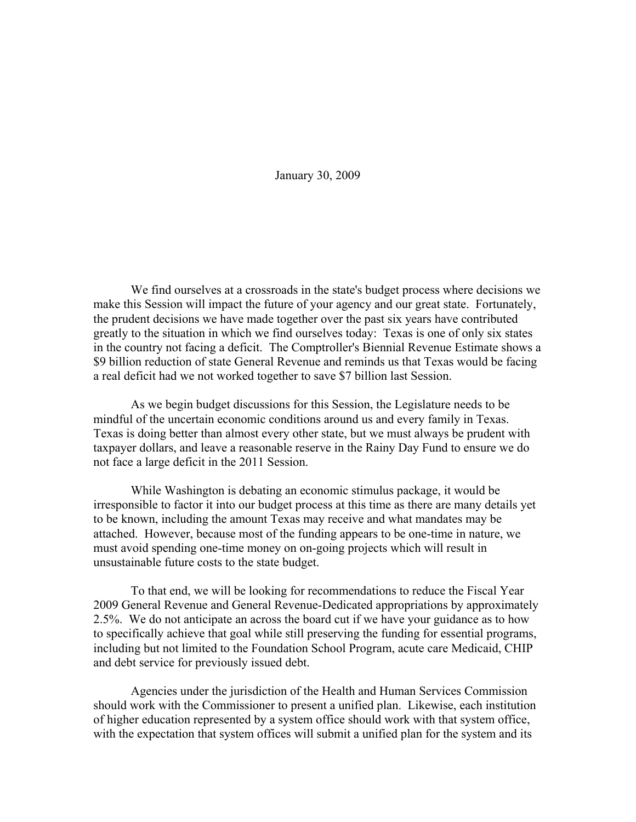January 30, 2009

We find ourselves at a crossroads in the state's budget process where decisions we make this Session will impact the future of your agency and our great state. Fortunately, the prudent decisions we have made together over the past six years have contributed greatly to the situation in which we find ourselves today: Texas is one of only six states in the country not facing a deficit. The Comptroller's Biennial Revenue Estimate shows a \$9 billion reduction of state General Revenue and reminds us that Texas would be facing a real deficit had we not worked together to save \$7 billion last Session.

As we begin budget discussions for this Session, the Legislature needs to be mindful of the uncertain economic conditions around us and every family in Texas. Texas is doing better than almost every other state, but we must always be prudent with taxpayer dollars, and leave a reasonable reserve in the Rainy Day Fund to ensure we do not face a large deficit in the 2011 Session.

While Washington is debating an economic stimulus package, it would be irresponsible to factor it into our budget process at this time as there are many details yet to be known, including the amount Texas may receive and what mandates may be attached. However, because most of the funding appears to be one-time in nature, we must avoid spending one-time money on on-going projects which will result in unsustainable future costs to the state budget.

To that end, we will be looking for recommendations to reduce the Fiscal Year 2009 General Revenue and General Revenue-Dedicated appropriations by approximately 2.5%. We do not anticipate an across the board cut if we have your guidance as to how to specifically achieve that goal while still preserving the funding for essential programs, including but not limited to the Foundation School Program, acute care Medicaid, CHIP and debt service for previously issued debt.

Agencies under the jurisdiction of the Health and Human Services Commission should work with the Commissioner to present a unified plan. Likewise, each institution of higher education represented by a system office should work with that system office, with the expectation that system offices will submit a unified plan for the system and its